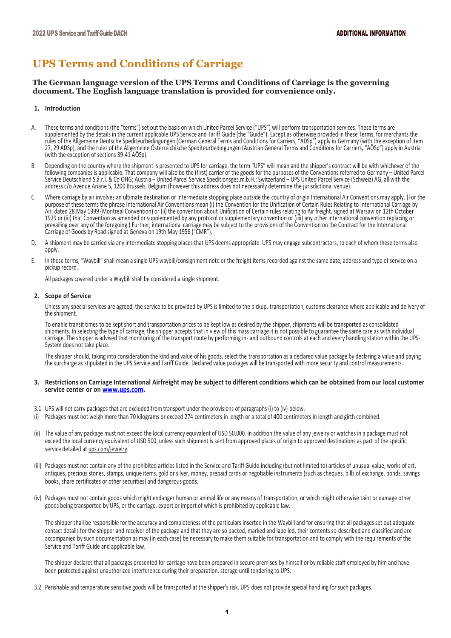# **UPS Terms and Conditions of Carriage**

**The German language version of the UPS Terms and Conditions of Carriage is the governing document. The English language translation is provided for convenience only.**

## **1. Introduction**

- A. These terms and conditions (the "terms") set out the basis on which United Parcel Service ("UPS") will perform transportation services. These terms are supplemented by the details in the current applicable UPS Service and Tariff Guide (the "Guide"). Except as otherwise provided in these Terms, for merchants the rules of the Allgemeine Deutsche Spediteurbedingungen (German General Terms and Conditions for Carriers, "ADSp") apply in Germany (with the exception of item 27, 29 ADSp), and the rules of the Allgemeine Österreichische Spediteurbedingungen (Austrian General Terms and Conditions for Carriers, "AÖSp") apply in Austria (with the exception of sections 39-41 AÖSp).
- B. Depending on the country where the shipment is presented to UPS for carriage, the term "UPS" will mean and the shipper's contract will be with whichever of the following companies is applicable. That company will also be the (first) carrier of the goods for the purposes of the Conventions referred to Germany – United Parcel Service Deutschland S.á.r.l. & Co OHG; Austria – United Parcel Service Speditionsges.m.b.H.; Switzerland – UPS United Parcel Service (Schweiz) AG, all with the address c/o Avenue Ariane 5, 1200 Brussels, Belgium (however this address does not necessarily determine the jurisdictional venue).
- C. Where carriage by air involves an ultimate destination or intermediate stopping place outside the country of origin International Air Conventions may apply. (For the purpose of these terms the phrase International Air Conventions mean (i) the Convention for the Unification of Certain Rules Relating to International Carriage by Air, dated 28.May 1999 (Montreal Convention) or (ii) the convention about Unification of Certain rules relating to Air freight, signed at Warsaw on 12th October 1929 or (iii) that Convention as amended or supplemented by any protocol or supplementary convention or (iiii) any other international convention replacing or prevailing over any of the foregoing.) Further, international carriage may be subject to the provisions of the Convention on the Contract for the International Carriage of Goods by Road signed at Geneva on 19th May 1956 ("CMR").
- D. A shipment may be carried via any intermediate stopping places that UPS deems appropriate. UPS may engage subcontractors, to each of whom these terms also apply.
- E. In these terms, "Waybill" shall mean a single UPS waybill/consignment note or the freight items recorded against the same date, address and type of service on a pickup record.

All packages covered under a Waybill shall be considered a single shipment.

# **2. Scope of Service**

Unless any special services are agreed, the service to be provided by UPS is limited to the pickup, transportation, customs clearance where applicable and delivery of the shipment.

To enable transit times to be kept short and transportation prices to be kept low as desired by the shipper, shipments will be transported as consolidated shipments. In selecting the type of carriage, the shipper accepts that in view of this mass carriage it is not possible to guarantee the same care as with individual carriage. The shipper is advised that monitoring of the transport route by performing in- and outbound controls at each and every handling station within the UPS-System does not take place.

The shipper should, taking into consideration the kind and value of his goods, select the transportation as a declared value package by declaring a value and paying the surcharge as stipulated in the UPS Service and Tariff Guide. Declared value packages will be transported with more security and control measurements.

## **3. Restrictions on Carriage International Airfreight may be subject to different conditions which can be obtained from our local customer service center or o[n www.ups.com.](http://www.ups.com/)**

- 3.1 UPS will not carry packages that are excluded from transport under the provisions of paragraphs (i) to (iv) below.
- (i) Packages must not weigh more than 70 kilograms or exceed 274 centimeters in length or a total of 400 centimeters in length and girth combined.
- (ii) The value of any package must not exceed the local currency equivalent of USD 50,000. In addition the value of any jewelry or watches in a package must not exceed the local currency equivalent of USD 500, unless such shipment is sent from approved places of origin to approved destinations as part of the specific service detailed at ups.com/jewelry.
- (iii) Packages must not contain any of the prohibited articles listed in the Service and Tariff Guide including (but not limited to) articles of unusual value, works of art, antiques, precious stones, stamps, unique items, gold or silver, money, prepaid cards or negotiable instruments (such as cheques, bills of exchange, bonds, savings books, share certificates or other securities) and dangerous goods.
- (iv) Packages must not contain goods which might endanger human or animal life or any means of transportation, or which might otherwise taint or damage other goods being transported by UPS, or the carriage, export or import of which is prohibited by applicable law.

The shipper shall be responsible for the accuracy and completeness of the particulars inserted in the Waybill and for ensuring that all packages set out adequate contact details for the shipper and receiver of the package and that they are so packed, marked and labelled, their contents so described and classified and are accompanied by such documentation as may (in each case) be necessary to make them suitable for transportation and to comply with the requirements of the Service and Tariff Guide and applicable law.

The shipper declares that all packages presented for carriage have been prepared in secure premises by himself or by reliable staff employed by him and have been protected against unauthorized interference during their preparation, storage until tendering to UPS.

3.2 Perishable and temperature sensitive goods will be transported at the shipper's risk. UPS does not provide special handling for such packages.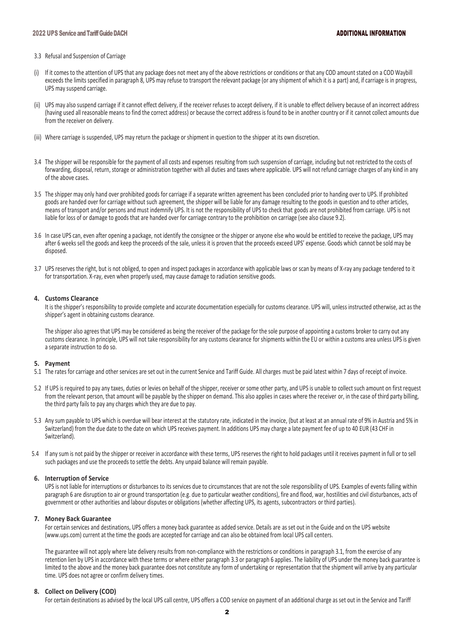## 3.3 Refusal and Suspension of Carriage

- (i) If it comes to the attention of UPS that any package does not meet any of the above restrictions or conditions or that any COD amount stated on a COD Waybill exceeds the limits specified in paragraph 8, UPS may refuse to transport the relevant package (or any shipment of which it is a part) and, if carriage is in progress, UPS may suspend carriage.
- (ii) UPS may also suspend carriage if it cannot effect delivery, if the receiver refuses to accept delivery, if it is unable to effect delivery because of an incorrect address (having used all reasonable means to find the correct address) or because the correct address is found to be in another country or if it cannot collect amounts due from the receiver on delivery.
- (iii) Where carriage is suspended, UPS may return the package or shipment in question to the shipper at its own discretion.
- 3.4 The shipper will be responsible for the payment of all costs and expenses resulting from such suspension of carriage, including but not restricted to the costs of forwarding, disposal, return, storage or administration together with all duties and taxes where applicable. UPS will not refund carriage charges of any kind in any of the above cases.
- 3.5 The shipper may only hand over prohibited goods for carriage if a separate written agreement has been concluded prior to handing over to UPS. If prohibited goods are handed over for carriage without such agreement, the shipper will be liable for any damage resulting to the goods in question and to other articles, means of transport and/or persons and must indemnify UPS. It is not the responsibility of UPS to check that goods are not prohibited from carriage. UPS is not liable for loss of or damage to goods that are handed over for carriage contrary to the prohibition on carriage (see also clause 9.2).
- 3.6 In case UPS can, even after opening a package, not identify the consignee or the shipper or anyone else who would be entitled to receive the package, UPS may after 6 weeks sell the goods and keep the proceeds of the sale, unless it is proven that the proceeds exceed UPS' expense. Goods which cannot be sold may be disposed.
- 3.7 UPS reserves the right, but is not obliged, to open and inspect packages in accordance with applicable laws or scan by means of X-ray any package tendered to it for transportation. X-ray, even when properly used, may cause damage to radiation sensitive goods.

# **4. Customs Clearance**

It is the shipper's responsibility to provide complete and accurate documentation especially for customs clearance. UPS will, unless instructed otherwise, act as the shipper's agent in obtaining customs clearance.

The shipper also agrees that UPS may be considered as being the receiver of the package for the sole purpose of appointing a customs broker to carry out any customs clearance. In principle, UPS will not take responsibility for any customs clearance for shipments within the EU or within a customs area unless UPS is given a separate instruction to do so.

# **5. Payment**

- 5.1 The rates for carriage and other services are set out in the current Service and Tariff Guide. All charges must be paid latest within 7 days of receipt of invoice.
- 5.2 If UPS is required to pay any taxes, duties or levies on behalf of the shipper, receiver or some other party, and UPS is unable to collect such amount on first request from the relevant person, that amount will be payable by the shipper on demand. This also applies in cases where the receiver or, in the case of third party billing, the third party fails to pay any charges which they are due to pay.
- 5.3 Any sum payable to UPS which is overdue will bear interest at the statutory rate, indicated in the invoice, (but at least at an annual rate of 9% in Austria and 5% in Switzerland) from the due date to the date on which UPS receives payment. In additions UPS may charge a late payment fee of up to 40 EUR (43 CHF in Switzerland).
- 5.4 If any sum is not paid by the shipper or receiver in accordance with these terms, UPS reserves the right to hold packages until it receives payment in full or to sell such packages and use the proceeds to settle the debts. Any unpaid balance will remain payable.

# **6. Interruption of Service**

UPS is not liable for interruptions or disturbances to its services due to circumstances that are not the sole responsibility of UPS. Examples of events falling within paragraph 6 are disruption to air or ground transportation (e.g. due to particular weather conditions), fire and flood, war, hostilities and civil disturbances, acts of government or other authorities and labour disputes or obligations (whether affecting UPS, its agents, subcontractors or third parties).

## **7. Money Back Guarantee**

For certain services and destinations, UPS offers a money back guarantee as added service. Details are as set out in the Guide and on the UPS website (www.ups.com) current at the time the goods are accepted for carriage and can also be obtained from local UPS call centers.

The guarantee will not apply where late delivery results from non-compliance with the restrictions or conditions in paragraph 3.1, from the exercise of any retention lien by UPS in accordance with these terms or where either paragraph 3.3 or paragraph 6 applies. The liability of UPS under the money back guarantee is limited to the above and the money back guarantee does not constitute any form of undertaking or representation that the shipment will arrive by any particular time. UPS does not agree or confirm delivery times.

# **8. Collect on Delivery (COD)**

For certain destinations as advised by the local UPS call centre, UPS offers a COD service on payment of an additional charge as set out in the Service and Tariff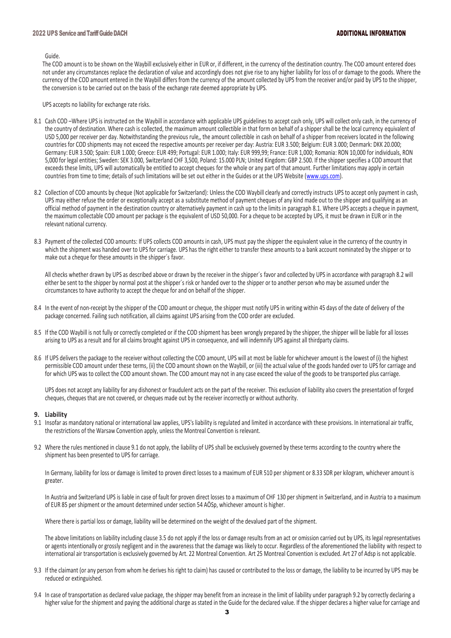Guide.

The COD amount is to be shown on the Waybill exclusively either in EUR or, if different, in the currency of the destination country. The COD amount entered does not under any circumstances replace the declaration of value and accordingly does not give rise to any higher liability for loss of or damage to the goods. Where the currency of the COD amount entered in the Waybill differs from the currency of the amount collected by UPS from the receiver and/or paid by UPS to the shipper, the conversion is to be carried out on the basis of the exchange rate deemed appropriate by UPS.

UPS accepts no liability for exchange rate risks.

- 8.1 Cash COD –Where UPS is instructed on the Waybill in accordance with applicable UPS guidelines to accept cash only, UPS will collect only cash, in the currency of the country of destination. Where cash is collected, the maximum amount collectible in that form on behalf of a shipper shall be the local currency equivalent of USD 5,000 per receiver per day. Notwithstanding the previous rule,, the amount collectible in cash on behalf of a shipper from receivers located in the following countries for COD shipments may not exceed the respective amounts per receiver per day: Austria: EUR 3.500; Belgium: EUR 3.000; Denmark: DKK 20.000; Germany: EUR 3.500; Spain: EUR 1.000; Greece: EUR 499; Portugal: EUR 1.000; Italy: EUR 999,99; France: EUR 1,000; Romania: RON 10,000 for individuals, RON 5,000 for legal entities; Sweden: SEK 3.000, Switzerland CHF 3,500, Poland: 15.000 PLN; United Kingdom: GBP 2.500. If the shipper specifies a COD amount that exceeds these limits, UPS will automatically be entitled to accept cheques for the whole or any part of that amount. Further limitations may apply in certain countries from time to time; details of such limitations will be set out either in the Guides or at the UPS Website [\(www.ups.com\)](http://www.ups.com/).
- 8.2 Collection of COD amounts by cheque (Not applicable for Switzerland): Unless the COD Waybill clearly and correctly instructs UPS to accept only payment in cash, UPS may either refuse the order or exceptionally accept as a substitute method of payment cheques of any kind made out to the shipper and qualifying as an official method of payment in the destination country or alternatively payment in cash up to the limits in paragraph 8.1. Where UPS accepts a cheque in payment, the maximum collectable COD amount per package is the equivalent of USD 50,000. For a cheque to be accepted by UPS, it must be drawn in EUR or in the relevant national currency.
- 8.3 Payment of the collected COD amounts: If UPS collects COD amounts in cash, UPS must pay the shipper the equivalent value in the currency of the country in which the shipment was handed over to UPS for carriage. UPS has the right either to transfer these amounts to a bank account nominated by the shipper or to make out a cheque for these amounts in the shipper´s favor.

All checks whether drawn by UPS as described above or drawn by the receiver in the shipper´s favor and collected by UPS in accordance with paragraph 8.2 will either be sent to the shipper by normal post at the shipper's risk or handed over to the shipper or to another person who may be assumed under the circumstances to have authority to accept the cheque for and on behalf of the shipper.

- 8.4 In the event of non-receipt by the shipper of the COD amount or cheque, the shipper must notify UPS in writing within 45 days of the date of delivery of the package concerned. Failing such notification, all claims against UPS arising from the COD order are excluded.
- 8.5 If the COD Waybill is not fully or correctly completed or if the COD shipment has been wrongly prepared by the shipper, the shipper will be liable for all losses arising to UPS as a result and for all claims brought against UPS in consequence, and will indemnify UPS against all thirdparty claims.
- 8.6 If UPS delivers the package to the receiver without collecting the COD amount, UPS will at most be liable for whichever amount is the lowest of (i) the highest permissible COD amount under these terms, (ii) the COD amount shown on the Waybill, or (iii) the actual value of the goods handed over to UPS for carriage and for which UPS was to collect the COD amount shown. The COD amount may not in any case exceed the value of the goods to be transported plus carriage.

UPS does not accept any liability for any dishonest or fraudulent acts on the part of the receiver. This exclusion of liability also covers the presentation of forged cheques, cheques that are not covered, or cheques made out by the receiver incorrectly or without authority.

# **9. Liability**

- 9.1 Insofar as mandatory national or international law applies, UPS's liability is regulated and limited in accordance with these provisions. In international air traffic, the restrictions of the Warsaw Convention apply, unless the Montreal Convention is relevant.
- 9.2 Where the rules mentioned in clause 9.1 do not apply, the liability of UPS shall be exclusively governed by these terms according to the country where the shipment has been presented to UPS for carriage.

In Germany, liability for loss or damage is limited to proven direct losses to a maximum of EUR 510 per shipment or 8.33 SDR per kilogram, whichever amount is greater.

In Austria and Switzerland UPS is liable in case of fault for proven direct losses to a maximum of CHF 130 per shipment in Switzerland, and in Austria to a maximum of EUR 85 per shipment or the amount determined under section 54 AÖSp, whichever amount is higher.

Where there is partial loss or damage, liability will be determined on the weight of the devalued part of the shipment.

The above limitations on liability including clause 3.5 do not apply if the loss or damage results from an act or omission carried out by UPS, its legal representatives or agents intentionally or grossly negligent and in the awareness that the damage was likely to occur. Regardless of the aforementioned the liability with respect to international air transportation is exclusively governed by Art. 22 Montreal Convention. Art 25 Montreal Convention is excluded. Art 27 of Adsp is not applicable.

- 9.3 If the claimant (or any person from whom he derives his right to claim) has caused or contributed to the loss or damage, the liability to be incurred by UPS may be reduced or extinguished.
- 9.4 In case of transportation as declared value package, the shipper may benefit from an increase in the limit of liability under paragraph 9.2 by correctly declaring a higher value for the shipment and paying the additional charge as stated in the Guide for the declared value. If the shipper declares a higher value for carriage and